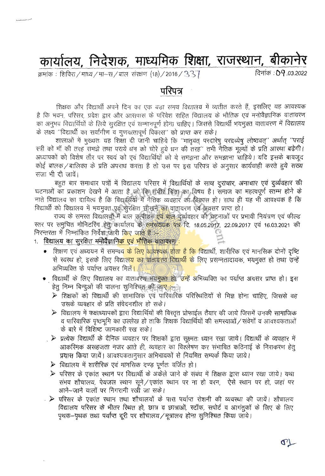# कार्यालय, निदेशक, माध्यमिक शिक्षा, राजस्थान, बीकानेर

क्रमांक : शिविरा / माध्य / मा–स / बाल) संरक्षण (18) / 2016 /  $337$ 

दिनांक: 09.03.2022

### परिपत्र

शिक्षक और विद्यार्थी अपने दिन का एक बड़ा समय विद्यालय में व्यतीत करते हैं, इसलिए यह आवश्यक है कि भवन, परिसर, प्रवेश द्वार और आसपास के परिवेश सहित विद्यालय के भौतिक एवं मनोवैज्ञानिक वातावरण का अनुभव विद्यार्थियों के लिये सुरक्षित एवं सम्मानपूर्ण होना चाहिए। जिससे विद्यार्थी भयमुक्त वातावरण में विद्यालय के लक्ष्य "विद्यार्थी का सर्वांगीण व गणवत्तापूर्ण विकास" को प्राप्त कर सके।

शालाओं में मुख्यतः यह शिक्षा दी जानी चाहिये कि "मातृवत् परदारेषु परद्रव्येषु लोष्ठवत्" अर्थात् "पराई स्त्री को माँ की तरह समझे तथा पराये धन को चोरे हये धन की तरह'' तभी नैतिक मूल्यों के प्रति आरथा बढ़ेगी। अध्यापकों को विशेष तौर पर स्वयं को एवं विद्यार्थियों को ये समझना और समझाना चाहिये। यदि इसके बावजूद कोई बालक / बालिका के प्रति अपराध करता है तो उस पर इस परिपत्र के अनुसार कार्यवाही करते हुये सख्य सजा भी दी जावें।

बहुत बार समाचार पत्रों में विद्यालय परिसर में विद्यार्थियों के साथ दूराचार, अनाचार एवं दुर्व्यवहार की घटनाओं का प्रकाशन देखने में आता है जो कि रामीर चिंता का विषय है। समाज का महत्वपूर्ण स्तम्भ होने के नाते विद्यालय का दायित्व है कि विद्यार्थियों में नैतिक व्यवहार का विकास हो। साथ ही यह भी आवश्यक है कि विद्यार्थी को विद्यालय में भयमुक्त एवं सुरक्षित सीखने का वातावरण एवं अवसर प्राप्त हो।

राज्य के समस्त विद्यालयों में बाल उत्पीड़न एवं बाल दुर्व्यवहार की घटनाओं पर प्रभावी नियंत्रण एवं फील्ड स्तर पर समुचित मोनिटरिंग हेत् कार्यालय के समसंख्यक पत्र दि. 18.05.2017, 22.09.2017 एवं 16.03.2021 की निरन्तरता में निम्नांकित निर्देश जारी किए जाते हैं :-

- 1. विद्यालय का सरक्षित मनोवैज्ञानि<mark>क एवं भौतिक वातावरण :</mark>
	- शिक्षण एवं अध्ययन में समन्वय <mark>के लिए आवश्यक होता है कि विद्या</mark>र्थी, शारीरिक एवं मानसिक दोनों दृष्टि से स्वस्थ हो, इसके लिए विद्यालय का वातावरण विद्यार्थी के लिए प्रसन्नतादायक, भयमुक्त हो तथा उन्हें अभिव्यक्ति के पर्याप्त अवसर मिलें<mark>।</mark>
	- विद्यार्थी के लिए विद्यालय का वातावरण भयमुक्त हो, उन्हें अभिव्यक्ति का पर्याप्त अवसर प्राप्त हो। इस हेतू निम्न बिन्दुओं की पालना सुनिश्चित की जा<mark>ए <sub>नय</sub>े</mark>
		- ▶ शिक्षकों को विद्यार्थी की सामाजिक एवं पारिवारिक परिस्थितियों से भिज्ञ होना चाहिए, जिससे वह उसके व्यवहार के प्रति संवेदनशील हो सके।
		- $\triangleright$  विद्यालय में कक्षाध्यापकों द्वारा विद्यार्थियों की विस्तृत प्रोफाईल तैयार की जाये जिसमें उनकी सामाजिक व पारिवारिक पृष्ठभूमि का उल्लेख हो ताकि शिक्षक विद्यार्थियों की समस्याओं / संवेगों व आवश्यकताओं के बारे में विशिष्ट जानकारी रख सके।
		- . > प्रत्येक विद्यार्थी के दैनिक व्यवहार पर शिक्षकों द्वारा सूक्ष्मतः ध्यान रखा जाये। विद्यार्थी के व्यवहार में आकरिमक असहजता नजर आते ही, व्यवहार का विश्लेषण कर संभावित कठिनाई के निराकरण हेत् प्रयास किया जायें। आवश्यकतानुसार अभिभावकों से नियमित सम्पर्क किया जाये।
		- $\triangleright$  विद्यालय में शारीरिक एवं मानसिक दण्ड़ पूर्णतः वर्जित हो।
		- ▶ परिसर के एकांत स्थान पर विद्यार्थी के अकेले जाने के संबंध में शिक्षक द्वारा ध्यान रखा जाये। यथा संभव शौचालय, पेयजल स्थान सुने/एकांत स्थान पर ना हो वरन, ऐसे स्थान पर हो, जहां पर आने-जाने वालों पर निगरानी रखी जा सके।
		- > परिसर के एकांत स्थान तथा शौचालयों के पास पर्याप्त रोशनी की व्यवस्था की जायें। शौचालय विद्यालय परिसर के भीतर रिथत हो, छात्र व छात्राओं, स्टॉफ, सपोर्ट व आगंतुकों के लिए के लिए पृथक–पृथक तथा पर्याप्त दूरी पर शौचालय / मूत्रालय होना सुनिश्चित किया जाये।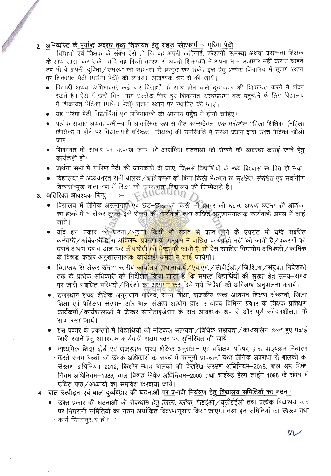#### 2. अभिव्यक्ति के पर्याप्त अवसर तथा शिकायत हेतू सहज प्लेटफार्म - गरिमा पेटी

विद्यार्थी एवं शिक्षक के संबंध ऐसे हो कि वह अपनी कठिनाई, परेशानी, समस्या अथवा प्रसन्नता शिक्षक के साथ साझा कर सके। यदि वह किसी कारण से अपनी शिकायत में अपना नाम उजागर नहीं करना चाहते तब भी वे अपनी द्विधा ⁄ समस्या को सहजता से प्रस्तुत कर सके। इस हेतु प्रत्येक विद्यालय में सुलभ स्थान पर शिकायत पेटी (गरिमा पेटी) की व्यवस्था आवश्यक रूप से की जायें।

- विद्यार्थी अथवा अभिभावक, कई बार विद्यार्थी के साथ होने वाले दर्व्यवहार की शिकायत करने में शंका रखतें है। ऐसे में उन्हें बिना नाम उल्लेख किए हुए शिकायत संस्थाप्रधान तक पहचाने के लिए विद्यालय में शिकायत पेटिका (गरिमा पेटी) सुलभ स्थान पर रथापित की जाए।
- यह गरिमा पेटी विद्यार्थियों एवं अभिभावकों की आसान पहुँच में होनी चाहिए।
- प्रत्येक सप्ताह अथवा कभी—कभी आकरिमक रूप से बीट कान्सटेबल, एक मनोनीत महिला शिक्षिका (महिला शिक्षिका न होने पर विद्यालयके वरिष्ठतम शिक्षक) की उपस्थिति में संस्था प्रधान द्वारा उक्त पेटिका खोली जाए।
- शिकायत के आधार पर तत्काल जांच की आशंकित घटनाओं को रोकने की व्यवस्था कराई जाने हेत् कार्यवाही हो।
- प्रार्थना सभा में गारिमा पेटी की जानकारी दी जाए. जिससे विद्यार्थियों के मध्य विश्वास स्थापित हो सके।
- विद्यालयों में अध्ययनरत सभी बालक / बालिकाओं को बिना किसी भेदभाव के सुरक्षित, संरक्षित एवं सर्वांगीण विकासोन्मुख वातावरण में शिक्षा की उपलब्धता विद्यालय की जिम्मेदारी है।<br>रिक्त आवश्यक बिन्दु :- त्रिती (UCALIOT)

#### 3. अतिरिक्त आवश्यक बिन्दू

Change of

- विद्यालय में लैंगिक असमानत्तरिएवं छेड़-छाड़ की किसी भी प्रकार की घटना अथवा घटना की आशंका को हल्के में न लेकर तुरन्त इसे रोकने की <mark>कार्यवा</mark>ही तथा वांछित अनुशासनात्मक कार्यवाही अमल में लाई जायें ।
- यदि इस प्रकार की घटना /सूचना किसी भी स्त्रोत से प्राप्त होने के उपरांत भी यदि संबंधित कर्मचारी / अधिकारी द्वारा अ<mark>विलम्ब प्रकरण के अनुक्रम में वांछि</mark>त कार्यवाही नहीं की जाती है / प्रकरणों को दबाने अथवा दबाव डाल क<mark>र लीपापोती की चेष्टा की जाती है, तो</mark> ऐसे संबंधित विभागीय अधिकारी / कार्मिक के विरूद्ध कठोर अनुशासनात्<mark>मक कार्यवाही अमल में लाई जा</mark>येंगी।
- विद्यालय से लेकर संभाग स्तरीय <mark>कार्यालय (प्रधानाचार्य / एच.ए</mark>म. / सीबीईओ / जि.शि.अ / संयुक्त निदेशक) तक के प्रत्येक अधिकारी को निर्देशित किया जाता है <mark>कि</mark> समस्त विद्यार्थियों की सुरक्षा हेतु समय—समय पर जारी संबंधित परिपत्रों / निर्देशों का अध्य<mark>यन क</mark>र दिये गये निर्देशों की अविलम्ब अनुपालना करावें।
- राजस्थान राज्य शैक्षिक अनुसंधान परिषद, समग्र शिक्षा, राजकीय उच्च अध्ययन शिक्षण संस्थानों, जिला शिक्षा एवं प्रशिक्षण संस्थान और बाल संरक्षण आयोग द्वारा आयोज्य विभिन्न प्रकार के शिक्षक प्रशिक्षण कार्यक्रमों / कार्यशालाओं में जेन्डर सेन्सेटाइजेशन के सत्र आवश्यक रूप से और पूर्ण संवेदनशीलता के साथ रखा जायें।
- इस प्रकार के प्रकरणों में विद्यार्थियों को मेडिकल सहायता / विधिक सहायता / काउंसलिंग करते हुए पढाई जारी रखने हेतू आवश्यक कार्यवाही सक्षम स्तर पर सुनिश्चित की जायें।
- माध्यमिक शिक्षा बोर्ड एवं राजस्थान राज्य शैक्षिक अनुसंधान एवं प्रशिक्षण परिषद द्वारा पाठ्यक्रम निर्धारण करते समय बच्चों को उनके अधिकारों के संबंध में कॉनूनी प्रावधानों यथा लैंगिक अपराधों से बालकों का संरक्षण अधिनियम--2012, किशोर न्याय बालकों की देखरेख संरक्षण अधिनियम--2015, बाल श्रम निषेध नियम अधिनियम-1986, बाल विवाह निषेध अधिनियम-2000 तथा चाईल्ड हेल्प लाईन 1098 के संबंध में उचित पाठ /अध्यायों का समावेश करवाया जायें।
- 4. बाल उत्पीड़न एवं बाल दुर्व्यवहार की घटनाओं पर प्रभावी नियंत्रण हेतु विद्यालय समितियों का गठन :
	- उक्त प्रकार की घटनाओं की रोकथाम हेतु जिला, ब्लॉक, पीईईओ/यूसीईईओ तथा प्रत्येक विद्यालय स्तर पर निगरानी समितियों का गठन अग्रांकित विवरणानुसार किया जाएगा तथा इन समितियों का स्वरूप तथा - कार्य निम्नानुसार होगा :–

M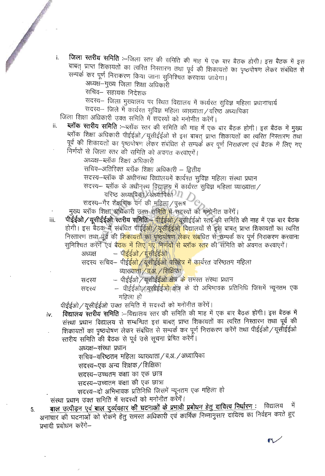- जिला स्तरीय समिति :--जिला रतर की समिति की माह में एक बार बैठक होगी। इस बैठक में इस i. बाबत् प्राप्त शिकायतों का त्वरित निरतारण तथा पूर्व की शिकायतों का पृष्ठपोषण लेकर संबंधित से सम्पर्क कर पूर्ण निराकरण किया जाना सुनिश्चित करवाया जायेगा।
	- अध्यक्ष—मुख्य जिला शिक्षा अधिकारी

सचिव– सहायक निदेशक

सदस्य- जिला मुख्यालय पर स्थित विद्यालय में कार्यरत सुविज्ञ महिला प्रधानाचार्य

सदस्य- जिले में कार्यरत सुविज्ञ महिला व्याख्याता/वरिष्ठ अध्यापिका

जिला शिक्षा अधिकारी उक्त समिति मेँ सदस्यों को मनोनीत करेंगें।

ब्लॉक स्तरीय समिति :-ब्लॉक स्तर की समिति की माह में एक बार बैठक होगी। इस बैठक में मुख्य ij. ब्लॉक शिक्षा अधिकारी पीईईओ/यूसीईईओ से इस बाबत् प्राप्त शिकायतों का त्वरित निस्तारण तथा पूर्व की शिकायतों का पृष्ठपोषण लेकर संबंधित से सम्पर्क कर पूर्ण निराकरण एवं बैठक में लिए गए निर्णयों से जिला स्तर की समिति को अवगत करवाएगें।

अध्यक्ष—ब्लॉक शिक्षा अधिकारी

सचिव-अतिरिक्त ब्लॉक शिक्षा अधिकारी – द्वितीय

सदस्य–ब्लॉक के अधीनस्थ विद्यालयमें कार्यरत सविज्ञ महिला संस्था प्रधान

सदस्य- ब्लॉक के अधीनुस्थ विद्यालय में कार्यरत सुविज्ञ महिला व्याख्याता/

वरिष्ठ अध्यापिका Xअध्यापिका<sup>01</sup>

सदस्य-गैर शैक्षणिक वर्ग की महिला/पुरुष

मुख्य ब्लॉक शिक्षा अधिकारी उक्त समि<mark>ति में</mark> सदस्यों को मनोनीत करेंगें।

**पीईईओ/यूसीईईओ स्तरीय समिति:-- पीईईओ/यूसी**ईईओ स्तर की समिति की माह में एक बार बैठक iii. होगी। इस बैठक में संबंधित पीईई<mark>ओ /यूसीईईओ विद्याल</mark>यों से इस बाबत प्राप्त शिकायतों का त्वरित निस्तारण तथा पूर्व की <mark>शिकायतों का पृष्ठपोषण लेकर संबं</mark>धित से सम्पर्क कर पूर्ण निराकरण करवाना सुनिश्चित करेंगे एवं बै<mark>ठक में लिए गए निर्णयों से ब्लॉक स्तर</mark> की समिति को अवगत करवाएगें।

> – पीईईओ / यूसीईईओ अध्यक्ष

सदस्य सचिव– पीई<mark>ईओ ⁄ यूसीईईओ परिक्षेत्र में का</mark>र्यरत वरिष्ठतम महिला व्याख्याता / व.अ. / शिक्षिका

- पीईईओ ⁄ यसीईईओ क्षेत्र के समस्त संस्था प्रधान सदस्य
- पीईईओ /यूसीईईआ क्षेत्र के दो अभिभावक प्रतिनिधि जिसमें न्यूनतम एक सदस्य महिला हो

पीईईओ/यूसीईईओ उक्त समिति में सदस्यों को मनोनीत करेंगें।

विद्यालय स्तरीय समिति :--विद्यालय स्तर की समिति की माह में एक बार बैठक होगी। इस बैठक में iv. संस्था प्रधान विद्यालय से सम्बन्धित इस बाबत् प्राप्त शिकायतों का त्वरित निस्तारण तथा पूर्व की शिकायतों का पृष्ठपोषण लेकर संबंधित से सम्पर्क कर पूर्ण निराकरण करेंगें तथा पीईईओ / यूसीईईओ स्तरीय समिति की बैठक से पूर्व उसे सूचना प्रेषित करेंगें।

अध्यक्ष–संस्था प्रधान

सचिव–वरिष्ठतम् महिला व्याख्याता / व.अ. / अध्यापिका

सदस्य-एक अन्य शिक्षक / शिक्षिका

सदस्य-उच्चतम कक्षा का एक छात्र

सदस्य-उच्चतम कक्षा की एक छात्रा

सदस्य-दो अभिभावक प्रतिनिधि जिसमें न्यूनतम एक महिला हो

संस्था प्रधान उक्त समिति में सदस्यों को मनोनीत करेंगें।

बाल उत्पीड़न एवं बाल दुर्व्यवहार की घटनाओं के प्रभावी प्रबोधन हेतु दायित्व निर्धारण : विद्यालय में 5. अनाचार की घटनाओं को रोकने हेतु समस्त अधिकारी एवं कार्मिक निम्नानुसार दायित्व का निर्वहन करते हुए प्रभावी प्रबोधन करेंगे–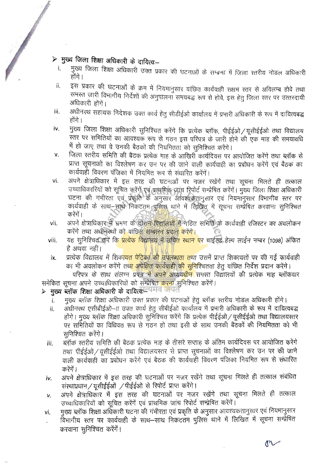## $\triangleright$  मुख्य जिला शिक्षा अधिकारी के दायित्व:--

 $\sqrt{2}$ 

- मुख्य जिला शिक्षा अधिकारी उक्त प्रकार की घटनाओं के सम्बन्ध में जिला रतरीय नोडल अधिकारी  $\mathbf{i}$ . होंगे ।
- इस प्रकार की घटनाओं के क्रम में नियमानुसार वांछित कार्यवाही सक्षम स्तर से अविलम्ब होवे तथा ii. समस्त जारी विभागीय निर्देशों की अनुपालना समयबद्ध रूप से होवे, इस हेतु जिला स्तर पर उत्तरदायी अधिकारी होंगें।
- अधीनस्थ सहायक निदेशक उक्त कार्य हेतु सीडीईओ कार्यालय में प्रभारी अधिकारी के रूप में दायित्वबद्ध iii. होंगे ।
- मुख्य जिला शिक्षा अधिकारी सुनिश्चित करेंगे कि प्रत्येक ब्लॉक, पीईईओ / यूसीईईओ तथा विद्यालय iv. स्तर पर समितियों का आवश्यक रूप से गठन इस परिपत्र के जारी होने की एक माह की समयावधि में हो जाए तथा वे उनकी बैठकों की नियमितता को सुनिश्चित करेंगे।
- जिला स्तरीय समिति की बैठक प्रत्येक माह के आखिरी कार्यदिवस पर आयोजित करेंगे तथा ब्लॉक से v. प्राप्त सूचनाओं का विश्लेषण कर उन पर की जाने वाली कार्यवाही का प्रबोधन करेंगे एवं बैठक का कार्यवाही विवरण पंजिका में नियमित रूप से संधारित करेंगें।
- िच अति वित्रा सिंह साथ पर अधिक साथ ब्यान से साथ से साथ से बात हैं। अब साथ ब्यान से बहुत साथ ब्यान से बहुत साथ<br>अन्य साथ से बात हैं। अन्य साथ ब्यान से बहुत साथ ब्यान से बहुत साथ ब्यान से बहुत साथ ब्यान से बहुत साथ ब्यान से अपने क्षेत्राधिकार में इस तरह की घटनाओं पर नजर रखेंगे तथा सूचना मिलते ही तत्काल vi. उच्चाधिकारियों को सूचित करेंगें एवं प्राथमिक जांच रिपोर्ट सम्प्रेषित करेंगें। मुख्य जिला शिक्षा अधिकारी घटना की गंभीरता एवं प्रकृति के अनुसार आवश्यकतानुसार एवं नियमानुसार विभागीय स्तर पर<br>कार्यवाही के साथ—साथे निकटतम पुलिस थाने में लिखित में सूचना सम्प्रेषित करवाना सुनिश्चित करेंगें ।
- अपने क्षेत्राधिकार में भ्रमण के दौरान विद्यालयों में गठित समिति के कार्यवाही रजिस्टर का अवलोकन vii. करेंगे तथा अधीनस्थों को वांछित सम्बलन प्रदान करेंगे।
- यह सुनिश्चित करें कि <mark>प्रत्येक विद्या</mark>लय में उचित स्थान पर चाईल्ड हेल्प लाईन नम्बर (1098) अंकित viii. है अथवा नहीं।
- प्रत्येक विद्यालय में शिका<mark>यत पेटिका की उपलब्धता तथा</mark> उसमें प्राप्त शिकायतों पर की गई कार्यवाही ix. का भी अवलोकन करेंगे तथा अपेक्षित कार्यवाही की सुनिश्चितता हेतु वांछित निर्देश प्रदान करेंगे।

परिपत्र के साथ संलग्न प्रपत्र में अपने अध्यय<mark>धीन</mark> समस्त विद्यालयों की प्रत्येक माह ब्लॉकवार समेकित सूचना अपने उच्चाधिकारियों को सम्प्रेषित <mark>करना सुनिश्चित करेंगें।</mark>

### ≻ मुख्य ब्लॉक शिक्षा अधिकारी के दायित्वपत्यमंव जयत

- मुख्य ब्लॉक शिक्षा अधिकारी उक्त प्रकार की घटनाओं हेतू ब्लॉक स्तरीय नोडल अधिकारी होंगे।
- .<br>अधीनस्थ एसीबीईओ—ाा उक्त कार्य हेतु सीबीईओ कार्यालय में प्रभारी अधिकारी के रूप में दायित्वबद्ध ii. न प्र<br>ह पी<br>क्रे 3<br>ओं होंगे। मुख्य ब्लॉक शिक्षा अधिकारी सुनिश्चित करेंगे कि प्रत्येक पीईईओ / यूसीईईओ तथा विद्यालयस्तर पर समितियों का विधिवत रूप से गठन हो तथा इसी के साथ उनकी बैठकों की नियमितता को भी सनिश्चित करेंगे।
- <u>ब्लॉक स्तरीय समिति की बैठक प्रत्येक माह के तीसरे सप्ताह के अंतिम कार्यदिवस पर आयोजित करेंगे</u> iii. तथा पीईईओ / यूसीईईओ तथा विद्यालयस्तर से प्राप्त सूचनाओं का विश्लेषण कर उन पर की जाने वाली कार्यवाही का प्रबोधन करेंगे एवं बैठक की कार्यवाही विवरण पंजिका नियमित रूप से संधारित करेंगें ।
- अपने क्षेत्राधिकार में इस तरह की घटनाओं पर नजर रखेंगे तथा सूचना मिलते ही तत्काल संबंधित iv. संस्थाप्रधान / यूसीईईओं / पीईईओ से रिपोर्ट प्राप्त करेंगे।
- अपने क्षेत्राधिकार में इस तरह की घटनाओं पर नजर रखेंगे तथा सूचना मिलते ही तत्काल v. उच्चाधिकारियों को सूचित करेंगें एवं प्राथमिक जांच रिपोर्ट सम्प्रेषित करेंगें।
- मुख्य ब्लॉक शिक्षा अधिकारी घटना की गंभीरता एवं प्रकृति के अनुसार आवश्यकतानुसार एवं नियमानुसार vi. विभागीय स्तर पर कार्यवाही के साथ-साथ निकटतम पुलिस थाने में लिखित में सूचना सम्प्रेषित करवाना सुनिश्चित करेंगें।

on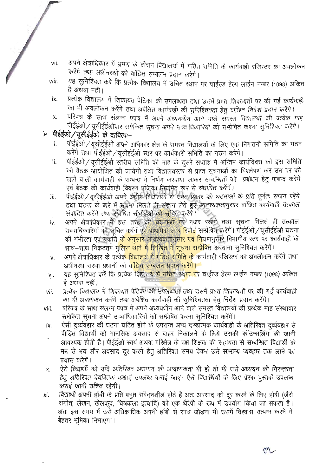- अपने क्षेत्राधिकार में भ्रमण के दौरान विद्यालयों में गठित समिति के कार्यवाही रजिस्टर का अवलोकन vii. करेंगे तथा अधीनस्थों को वांछित सम्बलन प्रदान करेंगे।
- यह सुनिश्चित करें कि प्रत्येक विद्यालय में उचित स्थान पर चाईल्ड हेल्प लाईन नम्बर (1098) अंकित viii. है अथवा नहीं।
- प्रत्येक विद्यालय में शिकायत पेटिका की उपलब्धता तथा उसमें प्राप्त शिकायतों पर की गई कार्यवाही ix. का भी अवलोकन करेंगे तथा अपेक्षित कार्यवाही की सुनिश्चितता हेतु वांछित निर्देश प्रदान करेंगे।
- परिपत्र के साथ संलग्न प्रपत्र में अपने अध्ययधीन आने वाले समस्त विद्यालयों की प्रत्येक माह X. पीईईओ/यूसीईईओवार समेकित सूचना अपने उच्चाधिकारियों को सम्प्रेषित करना सुनिश्चित करेंगें।

#### पीईईओ ⁄ यूसीईईओ के दायित्व:--

- पीईईओ/यूसीईईओ अपने अधिकार क्षेत्र के समस्त विद्यालयों के लिए एक निगरानी समिति का गठन i. करेंगे तथा पीईईओ ⁄ यूसीईईओ स्तर पर कार्यकारी समिति का गठन करेंगे।
- पीईईओ/यूसीईईओ स्तरीय समिति की माह के दूसरे सप्ताह में अन्तिम कार्यदिवस को इस समिति ii. की बैठक आयोजित की जायेगी तथा विद्यालयस्तर से प्राप्त सूचनाओं का विश्लेषण कर उन पर की जाने वाली कार्यवाही के सम्बन्ध में निर्णय करवाया जाकर सम्बन्धितों को प्रबोधन हेतु पाबन्द करेंगें एवं बैठक की कार्यवाही विवरण पंजिका नियमित रूप से संधारित करेंगें।
- पीईईओ / यूसीईईओ अपने अधीन विद्यालयों से उक्त प्रकार की घटनाओं के प्रति पूर्णतः सजग रहेंगे iii. तथा घटना के बारे में सूचना मिलते ही संज्ञान लेते हुए आवश्यकतानुसार वांछित कार्यवाही तत्काल संपादित करेंगे तथा संबंधित सीबीईओ <mark>को सू</mark>चित करेंगे।
- अपने क्षेत्राधिकार में इस तरह क<mark>ी घटनाओं प</mark>र नजर रखेंगे तथा सूचना मिलते ही तत्काल iv. उच्चाधिकारियों को सूचित करेंगें एवं प्राथमिक जांच रिपोर्ट सम्प्रेषित करेंगें। पोईईओ / यूसीईईओ घटना की गंभीरता एवं प्रकृति <mark>के अनुसार</mark> आवश्यकतानुसार एवं नियमानुसार विभागीय स्तर पर कार्यवाही के साथ-साथ निकटतम पुलिस थाने में लिखित में सूचना सम्प्रेषित करवाना सुनिश्चित करेंगें।
- अपने क्षेत्राधिकार के प्रत्येक <mark>विद्यालय में गठित समिति के</mark> कार्यवाही रजिस्टर का अवलोकन करेंगे तथा v. अधीनस्थ संस्था प्रधानों को <mark>वांछित सम्बलन प्रदान करेंगे।</mark>
- यह सनिश्चित करें कि प्रत्येक विद्यालय में उचित स्थान पर चाईल्ड हेल्प लाईन नम्बर (1098) अंकित vi. है अथवा नहीं।
- प्रत्येक विद्यालय में शिकायत पेटिका की उपलब्धता तथा उसमें प्राप्त शिकायतों पर की गई कार्यवाही vii. का भी अवलोकन करेंगे तथा अपेक्षित कार्यवाही की सुनिश्चितता हेतू निर्देश प्रदान करेंगे।
- परिपत्र के साथ संलग्न प्रपत्र में अपने अध्ययधीन आने वाले समस्त विद्यालयों की प्रत्येक माह संस्थावार viii. समेकित सूचना अपने उच्चाधिकारियों को सम्प्रेषित करना सुनिश्चित करेंगें।
- ऐसी दूर्व्यवहार की घटना घटित होने के उपरान्त अन्य दण्डात्मक कार्यवाही के अतिरिक्त दूर्व्यवहार से ix. पीडित विद्यार्थी को मानसिक अवसाद से बाहर निकालने के लिये उसकी कॉउन्सलिंग की जानी आवश्यक होती है। पीईईओ स्वयं अथवा परिक्षेत्र के दक्ष शिक्षक की सहायता से सम्बन्धित विद्यार्थी के मन से भय और अवसाद दूर करने हेतू अतिरिक्त समय देकर उसे सामान्य व्यवहार तक लाने का प्रयास करेंगें।
- ऐसे विद्यार्थी को यदि अतिरिक्त अध्ययन की आवश्यकता भी हो तो भी उसे अध्ययन की निरन्तरता Χ. हेतू अतिरिक्त वैयक्तिक कक्षाएं उपलब्ध कराई जाए। ऐसे विद्यार्थियों के लिए प्रेरक पुस्तकें उपलब्ध कराई जानी उचित रहेगी।
- विद्यार्थी अपनी हॉबी के प्रति बहुत संवेदनशील होते है अतः अवसाद को दूर करने के लिए हॉबी (जैसे xi. संगीत, लेखन, खेलकूद, चित्रकला इत्यादि) को एक थैरेपी के रूप में उपयोग किया जा सकता है। अतः इस समय में उसे अधिकाधिक अपनी हॉबी से साथ जोड़ना भी उसमें विश्वास उत्पन्न करने में बेहतर भूमिका निभाएगा।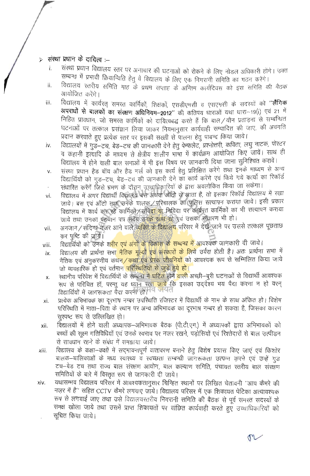#### संस्था प्रधान के दायित्व $\mu$  $\check{\mathbf{z}}$

- संस्था प्रधान विद्यालय स्तर पर अनाचार की घटनाओं को रोकने के लिए नोडल अधिकारी होंगे। उक्त i. सम्बन्ध में प्रभावी क्रियान्विति हेतु वे विद्यालय के लिए एक निगरानी समिति का गठन करेंगे।
- विद्यालय स्तरीय समिति माह के प्रथम सप्ताह के अन्तिम कार्यदिवस को इस समिति की बैठक ii. आयोजित करेंगे।
- विद्यालय में कार्यरत् समरत कार्मिकों, शिक्षकों, एसडीएमसी व एसएमसी के सदस्यों को "लैंगिक iii. अपराधों से बालकों का संरक्षण अधिनियम-2012" की कतिपय धाराओं यथा धारा-19(i) एवं 21 में निहित प्रावधान, जो समरत कार्मिकों को दायित्वबद्ध करते हैं कि बाल/यौन प्रताड़ना से सम्बन्धित घटनाओं पर तत्काल प्रसंज्ञान लिया जाकर नियमानुसार कार्यवाही सम्पादित की जाए, की अवगति प्रदान करवाते हुए प्रत्येक स्तर पर इसकी सख्ती से पालना हेतु पाबन्द किया जाये।
- विद्यालयों में गुड–टच, बेड–टच की जानकारी देने हेतु पेम्फलेट, प्रश्नोत्तरी, कविता, लघु नाटक, पोस्टर iv. व कहानी इत्यादि के माध्यम से क्षेत्रीय शालीन भाषा में कार्यक्रम आयोजित किए जायें। साथ ही विद्यालय में होने वाली बाल सभाओं में भी इस विषय पर जानकारी दिया जाना सुनिश्चित करावें।
- संस्था प्रधान हैड बॉय और हैड गर्ल को इस कार्य हेतू प्रशिक्षित करेंगे तथा इनके माध्यम से अन्य  $V_{\cdot}$ विद्यार्थियों को गुड़–टच, बेड–टच की जानकारी देने का कार्य करेंगे एवं किये गये कार्यों का रिकॉर्ड
- संधारित करेंगें जिसे भ्रमण के दौरान उच्चाधिकारियों के द्वारा अवलोकित किया जा सकेगा। विद्यालय में अगर विद्यार्थी विद्यालये बैस अथवा ऑटो से आता है, तो इसका रिकॉर्ड विद्यालय में रखा
- vi. जाये। बस एवं ऑटो तथा उनके चालक/परिचालक का पुलिस सत्यापन कराया जाये। इसी प्रकार विद्यालय में कार्य कर रहे कार्मिकों / संविदा या निविदा पर कार्यरत कार्मिकों का भी सत्यापन कराया जाये तथा उनका पहचान पत्र सदैव उनके साथ रहे एवं उसका संधारण भी हो।
- अनजान/संदिग्ध नजर आने वाले <mark>व्यक्ति के विद्यालय</mark> परिसर में देखें जाने पर उससे तत्काल पूछताछ vii. कर पृष्टि की जायें।
- विद्यार्थियों को उनके शरीर एवं अंगों के विकास के सम्बन्ध में आवश्यक जानकारी दी जाये। viii.
- विद्यालय की प्रार्थना सभ<mark>ा नैतिक मुल्यों एवं संस्कारों के लिये</mark> उर्वरा होती है। अतः प्रार्थना सभा में ix. नैतिक एवं अनुकरणीय कथन / कथा एवं प्रेरक जीबनियों को आवश्यक रूप से सम्मिलित किया जाये जो व्यवहारिक हो एवं वर्तमान परिस्थितियों से जुड़े हुये हो।
- स्थानीय परिवेश में विद्यार्थियों के सम्बन्ध <del>में घटित</del> होने <mark>वाली</mark> अच्छी–बूरी घटनाओं से विद्यार्थी आवश्यक x. रूप से परिचित हों, परन्तु यह ध्यान रख<mark>ा जावे</mark> कि इसका उददेश्य भय पैदा करना न हो वरन विद्यार्थियों में जागरूकता पैदा करना हो। वि जयत
- प्रत्येक अभिभावक का दूरभाष नम्बर उपरिथति रजिस्टर में विद्यार्थी के नाम के साथ अंकित हो। विशेष xi. परिस्थिति में माता–पिता के स्थान पर अन्य अभिभावक का दूरभाष नम्बर हो सकता है, जिसका कारण सस्पष्ट रूप से उल्लिखित हो।
- विद्यालयों में होने वाली अध्यापक–अभिभावक बैठक (पी.टी.एम.) में अध्यापकों द्वारा अभिभावकों को xii. बच्चों की सक्ष्म गतिविधियों एवं उनके स्वभाव पर नजर रखने. पडोसियों एवं रिश्तेदारों से बाल उत्पीडन से सावधान रहने के संबंध में समझाया जाये।
- विद्यालय के कक्षा-कक्षों में सदभावनापूर्ण वातावरण बनाने हेतू विशेष प्रयास किए जाएं एवं किशोर xiii. बालक-बालिकाओं के मध्य रवारथ्य व स्वच्छता सम्बन्धी जांगरूकता उत्पन्न करने एवं उन्हें गुड टच-बेड टच तथा राज्य बाल संरक्षण आयोग, बाल कल्याण समिति, पंचायत स्तरीय बाल संरक्षण समितियों के बारे में विस्तृत रूप से जानकारी दी जाये।
- यथासम्भव विद्यालय परिसर में आवश्यकतानुसार चिन्हित स्थानों पर लिखित चेतावनी ''आप कैमरे की xiv. नज़र में है'' सहित CCTV कैमरे लगवाए जाये। विद्यालय परिसर में एक शिकायत पेटिका अत्यावश्यक रूप से लगवाई जाए तथा उसे विद्यालयरतरीय निगरानी समिति की बैठक से पूर्व समस्त सदस्यों के समक्ष खोला जाये तथा उसमें प्राप्त शिकायतों पर वांछित कार्यवाही करते हुएँ उच्चाधिकारियों को सचित किया जाये।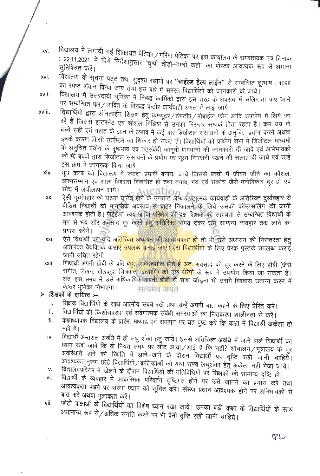विद्यालय में लगायी गई शिकायत पेटिका/गरिमा पेटिका पर इस कार्यालय के समसंख्यक पत्र दिनांक XV. : 22.11.2021 में दिये निर्देशानुसार "चुप्पी तोड़ो–हमसे कहो" का पोस्टर आवश्यक रूप से लगाना xvi.

विद्यालय के सूचना पट्ट तथा सुदृश्य स्थानों पर **''चाईल्ड हेल्प लाईन''** से सम्बन्धित दूरभाष : 1098 का स्पष्ट अंकन किया जाए तथा इस बारे में समस्त विद्यार्थियों को जानकारी दी जाये। xvii.

विद्यालय में उत्तरदायी भूमिका में निबद्ध कार्मिकों द्वारा इस तरह के अपराध में संलिप्तता पाए जाने पर सम्बन्धित पक्ष / व्यक्ति के विरूद्ध कठोर कार्यवाही अमल में लाई जाये। xviii.

- विद्यार्थियों द्वारा ऑनलाईन शिक्षण हेतु कम्प्यूटर/लेपटॉप/मोबाईल फोन आदि उपयोग में लिये जा रहे हैं जिससे इन्टरनेट एवं सोशल मिडिया से उनका निरन्तर सम्पर्क होता रहता है। कम उम्र के बच्चे सही एवं गलत के ज्ञान के अभाव में कई बार डिजीटल संसाधनों के अनुचित प्रयोग करने अथवा इनके कारण किसी उत्पीडन का शिकार हो सकते हैं। विद्यार्थियों को प्रार्थना सभा में डिजीटल माध्यमों के अनुचित प्रयोग के दुष्प्रभाव एवं तत्संबंधी कानूनी प्रावधानों की जानकारी दी जावे एवं अभिभावकों को भी बच्चों द्वारा डिजीटल संसाधनों के प्रयोग पर सूक्ष्म निगरानी रखने की सलाह दी जाये एवं उन्हें इस क्रम में जागरूक किया जाये।
- यूथ क्लब को विद्यालय में ज्यादा प्रभावी बनाया जाये जिससे बच्चों में जीवन जीने का कौशल, xix. आत्मसम्मान एवं आत्म विश्वास विकसित हो तथा तनाव, भय एवं संकोच जैसे मनोविकार दूर हो एवं सोच में लचीलापन आये।  $\cdot$   $\lambda$   $\alpha$   $\alpha$   $\alpha$   $\alpha$   $\alpha$   $\alpha$
- ऐसी दुर्व्यवहार की घटना घटित होने के उपरान्त अन्य दण्डात्मक कार्यवाही के अतिरिक्त दर्व्यवहार से XX. पीड़ित विद्यार्थी को मानसिक अवसाद से बाहर निकालने के लिये उसकी कॉउन्सलिंग की जानी आवश्यक होती है। पीईईओ स्वयं अगिंवा परिक्षेत्र की दक्ष शिक्षक की सहायता से सम्बन्धित विद्यार्थी के मन से भय और अवसाद दूर करने हेतु अतिरिक्त समय देकर उसे सामान्य व्यवहार तक लाने का प्रयास करेंगें।
- ऐसे विद्यार्थी को यदि अ<mark>तिरिक्त अध्ययन की आवश्यकता हो तो</mark> भी उसे अध्ययन की निरन्तरता हेतु xxi. अतिरिक्त वैयक्तिक कक्षाएं उपलब्ध कराई जाए। ऐसे विद्यार्थियों के लिए प्रेरक पुस्तकें उपलब्ध कराई जानी उचित रहेगी।
- विद्यार्थी अपनी हॉबी के प्रति <mark>बहुत संवेदनशील होते है अतः</mark> अवसाद को दूर करने के लिए हॉबी (जैसे xxii. संगीत, लेखन, खेलकूद, चित्रकला इत्यादि) को एक थैरेपी के रूप में उपयोग किया जा सकता है। अतः इस समय में उसे अधिकाधिक अपन<mark>ी हॉबी से सा</mark>थ जोड़ना भी उसमें विश्वास उत्पन्न करने में बेहतर भूमिका निभाएगा। सत्यमेव <del>ज</del>यते

### $\triangleright$  शिक्षकों के दायित्व :–

n ee

- शिक्षक विद्यार्थियों के साथ आत्मीय संबंध रखें तथा उन्हें अपनी बात कहने के लिए प्रेरित करें। i.
- विद्यार्थियों की किशोरावस्था एवं संवेगात्मक संबंधी समस्याओं का निराकरण शालीनता से करें। ii.
- कक्षाध्यापक विद्यालय के प्रारंभ, मध्याह्न एवं समापन पर यह पुष्ट करें कि कक्षा में विद्यार्थी अकेला तो iii. नहीं है।
- विद्यार्थी अन्तराल अवधि में ही लघु शंका हेतु जाये। इससे अतिरिक्त अवधि में जाने वाले विद्यार्थी का iv. ध्यान रखा जावे कि वो नियत समय पर लौट आया/आई है कि नहीं? शौचालय/मूत्रालय के दूर अवरिथति होने की रिथति में आने–जाने के दौरान विद्यार्थी पर दृष्टि रखी जानी चाहियें। आवश्यकतानुरूप छोटे विद्यार्थियों / बालिकाओं को यथा संभव लघुशंका हेतु अकेला नहीं भेजा जाये।
- विद्यालयपरिसर में खेलने के दौरान विद्यार्थियों की गतिविधियों पर शिक्षकों की सामान्य दृष्टि हो। v.
- विद्यार्थी के व्यवहार में आकरिमक परिवर्तन दृष्टिगत होने पर उसे जानने का प्रयास करें तथा vi. आवश्यकता पड़ने पर संस्था प्रधान को सूचित करें। संस्था प्रधान आवश्यक होने पर अभिभावकों से बात करें अथवा मुलाकात करें।
- छोटी कक्षाओं के विद्यार्थियों का विशेष ध्यान रखा जाये। उनका बड़ी कक्षा के विद्यार्थियों के साथ vii. असामान्य रूप से/अधिक संगति करने पर भी पैनी दृष्टि रखी जानी चाहिये।

 $P<sub>L</sub>$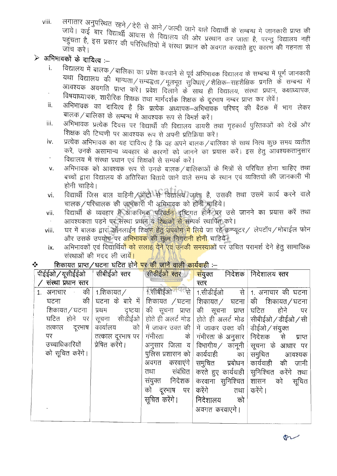लगातार अनुपरिथत रहने / देरी से आने / जल्दी जाने वाले विद्यार्थी के सम्बन्ध मे जानकारी प्राप्त की viii. जाये। कई बार विद्यार्थी आवास से विद्यालय की ओर प्रस्थान कर जाता है, परन्तु विद्यालय नहीं पहुंचता है, इस प्रकार की परिस्थितियों में संस्था प्रधान को अवगत करवाते हुए कारण की गहनता से

## $\triangleright$  अभिभावकों के दायित्व :--

- विद्यालय में बालक / बालिका का प्रवेश करवाने से पूर्व अभिभावक विद्यालय के सम्बन्ध में पूर्ण जानकारी i. यथा विद्यालय की मान्यता/सम्बद्धता/मूलभूत सुविधाएं/शैक्षिक-सहशैक्षिक प्रगति के सम्बन्ध में आवश्यक अवगति प्राप्त करें। प्रवेश दिलाने के साथ ही विद्यालय, संस्था प्रधान, कक्षाध्यापक,
- विषयाध्यापक, शारीरिक शिक्षक तथा मार्गदर्शक शिक्षक के दूरभाष नम्बर प्राप्त कर लेवें। अभिभावक का दायित्व है कि प्रत्येक अध्यापक–अभिभावक परिषद की बैठक में भाग लेकर ii. बालक / बालिका के सम्बन्ध में आवश्यक रूप से विमर्श करें।
- अभिभावक प्रत्येक दिवस पर विद्यार्थी की विद्यालय डायरी तथा गृहकार्य पुरितकओं को देखें और iii. शिक्षक की टिप्पणी पर आवश्यक रूप से अपनी प्रतिक्रिया करें।
- प्रत्येक अभिभावक का यह दायित्व है कि वह अपने बालक/बालिका के साथ नित्य कुछ समय व्यतीत iv. करें, उनके असामान्य व्यवहार के कारणों को जानने का प्रयास करें। इस हेतु आवश्यकतानुसार विद्यालय में संस्था प्रधान एवं शिक्षकों से सम्पर्क करें।
- अभिभावक को आवश्यक रूप से उनके बालक ⁄ बालिकाओं के मित्रों से परिचित होना चाहिए तथा v. बच्चों द्वारा विद्यालय के अतिरिक्त बिताये जाने वाले समय के स्थान एवं व्यक्तियों की जानकारी भी होनी चाहिये।
- विद्यार्थी जिस बाल वाहिनी अॉटो से विद्यालय जाता है, उसकी तथा उसमें कार्य करने वाले vi. चालक / परिचालक की जानकारी भी अभिभावक को होनी चाहिये।
- विद्यार्थी के व्यवहार में आकरिमक परिवर्तन दृष्टिगत होने पर उसे जानने का प्रयास करें तथा vii. आवश्यकता पड़ने पर संस्था प्रधान व शिक्षकों से सम्पर्क स्थापित करे।
- घर में बालक द्वारा ऑनलाईन शिक्षण हेतु उपयोग में लिये जा रहे कम्प्यूटर/ लेपटॉप/मोबाईल फोन viii. और उसके उपयोग पर अ<mark>भिभावक</mark> की सूक्ष्म निगरानी होनी चाहिये।
- अभिभावकों एवं विद्यार्थियों <mark>को सलाह देने एवं उनकी समस्याओं</mark> पर उचित परामर्श देने हेतु सामाजिक ix. संस्थाओं की मदद ली जायें।

#### शिकायत प्राप्त ⁄ घटना घटित होन<mark>े पर की जाने वाली कार्यवा</mark>ही :– ❖

| पीईईओ / यूसीईईओ   सीबीईओ स्तर |                  | सीडीईओ स्तर                   | संयुक्त निर्देशक निर्देशालय स्तर                          |                                                                                               |
|-------------------------------|------------------|-------------------------------|-----------------------------------------------------------|-----------------------------------------------------------------------------------------------|
| / संस्था प्रधान स्तर          |                  |                               | स्तर                                                      |                                                                                               |
| की<br>1. अनाचार               | 1.शिकायत ⁄       |                               |                                                           | 1.सीबीईओ गयत्से 1.सीडीईओ से 1. अनाचार की घटना                                                 |
| की<br>घटना                    |                  | घटना के बारे में शिकायत /घटना | शिकायत ⁄ घटना                                             | की शिकायत/घटना                                                                                |
| शिकायत / घटना                 | प्रथम दृष्टया    |                               | की सूचना प्राप्त $\mid$ की सूचना प्राप्त $\mid$           | <sup> </sup> घटित होने<br>पर                                                                  |
| घटित होने पर                  |                  |                               |                                                           | सूचना सीडीईओ होते ही अलर्ट मोड होते ही अलर्ट मोड सीबीईओ/डीईओ/सी                               |
| दूरभाष<br>तत्काल              | कार्यालय         |                               | को   में जाकर उक्त की   में जाकर उक्त की   डीईओ / संयुक्त |                                                                                               |
| पर                            | तत्काल दूरभाष पर | गंभीरता के $\vert$            |                                                           | गंभीरता के अनुसार   निदेशक से प्राप्त                                                         |
| उच्चाधिकारियों                | प्रेषित करेंगे।  | अनुसार जिला व                 |                                                           | $\mid$ विभागीय $\hspace{.1cm}\rule{0.7cm}{1.1cm}\hspace{.1cm}$ कानूनी $\mid$ सूचना के आधार पर |
| को सूचित करेंगे।              |                  |                               | पुलिस प्रशासन को   कार्यवाही         का                   | समुचित आवश्यक                                                                                 |
|                               |                  |                               |                                                           | अवगत करवाएंगे समुचित प्रबोधन कार्यवाही की जानी                                                |
|                               |                  | संबंधित<br>तथा                |                                                           | करते हुए कार्यवाही सुनिश्चित करेंगे तथा                                                       |
|                               |                  | संयुक्त निदेशक                | करवाना सुनिश्चित  शासन को                                 | सूचित                                                                                         |
|                               |                  | को दूरभाष पर                  | करेंगे<br>तथा                                             | करेंगे ।                                                                                      |
|                               |                  |                               | सूचित करेंगे।   निदेशालय को                               |                                                                                               |
|                               |                  |                               | अवगत करवाएगे।                                             |                                                                                               |
|                               |                  |                               |                                                           |                                                                                               |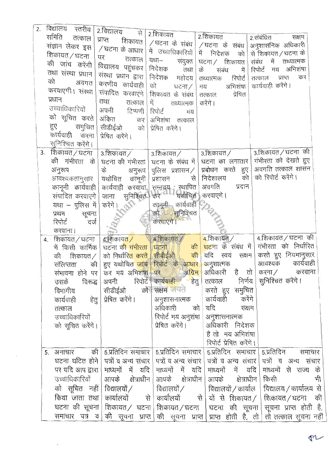| २. विद्यालय       | रतरीय                    | 2.विद्यालय से                                                                      |        |                   |                                                 |                                                            |                                               |         |                      |            |                      |
|-------------------|--------------------------|------------------------------------------------------------------------------------|--------|-------------------|-------------------------------------------------|------------------------------------------------------------|-----------------------------------------------|---------|----------------------|------------|----------------------|
| समिति तत्काल      |                          | प्राप्त शिकायत                                                                     |        | 2.शिकायत          |                                                 | 2.शिकायत                                                   |                                               |         | 2.संबंधित            | सक्षम      |                      |
| संज्ञान लेकर इस   |                          | / घटना के आधार                                                                     |        |                   |                                                 | /घटना के संबंध   /घटना के संबंध                            |                                               |         | अनुशासनिक अधिकारी    |            |                      |
| शिकायत / घटना     |                          | पर                                                                                 |        |                   |                                                 | में उच्चाधिकारियों   में निदेशक को                         |                                               |         | से शिकायत / घटना के  |            |                      |
| की जांच करेंगी    |                          |                                                                                    | तत्काल |                   | यथा– संयुक्त                                    | घटना ⁄ शिकायत                                              |                                               |         | संबंध में तथ्यात्मक  |            |                      |
| तथा संस्था प्रधान |                          | विद्यालय पहुंचकर                                                                   |        |                   | निदेशक तथा                                      | के                                                         | संबंध<br>में                                  | रिपोर्ट |                      | मय अभिशंषा |                      |
| को                | अवगत                     | संस्था प्रधान द्वारा                                                               |        | निदेशक            | महोदय                                           | तथ्यात्मक                                                  | रिपोर्ट                                       | तत्काल  |                      | प्राप्त    | कर                   |
| करवाएगी। संख्या   |                          | करणीय कार्यवाही                                                                    |        | को                | घटना ⁄                                          | मय                                                         | अभिशंषा                                       |         | कार्यवाही करेंगे ।   |            |                      |
| प्रधान            |                          | संपादित करवाएंगे                                                                   |        |                   | शिकायत के संबंध                                 | तत्काल                                                     | प्रेषित                                       |         |                      |            |                      |
| उच्चाधिकारियों    |                          | तथा                                                                                | तत्काल | में               | तथ्यात्मक                                       | करेंगे।                                                    |                                               |         |                      |            |                      |
|                   |                          | अपनी टिप्पणी                                                                       |        | रिपोर्ट           | मय                                              |                                                            |                                               |         |                      |            |                      |
|                   |                          | को सूचित करते  अंकित                                                               | कर     | अभिशंषा तत्काल    |                                                 |                                                            |                                               |         |                      |            |                      |
|                   | हुए समुचित $\vert$       | सीडीईओ को                                                                          |        | प्रेषित करेंगे।   |                                                 |                                                            |                                               |         |                      |            |                      |
|                   | कार्यवाही करना           | प्रेषित करेंगे।                                                                    |        |                   |                                                 |                                                            |                                               |         |                      |            |                      |
| सुनिश्चित करेंगे। |                          |                                                                                    |        |                   |                                                 |                                                            |                                               |         |                      |            |                      |
| 3. शिकायत/घटना    |                          | 3.शिकायत /                                                                         |        |                   | $\mid$ 3.शिकायत $\hspace{0.1em}/\hspace{0.1em}$ | $\overline{\phantom{a}}$ 3.शिकायत $\overline{\phantom{a}}$ |                                               |         | 3.शिकायत/घटना की     |            |                      |
|                   | की गंभीरता के।           | घटना की गंभीरता   घटना के संबंध में   घटना का लगातार                               |        |                   |                                                 |                                                            |                                               |         | गंभीरता को देखते हुए |            |                      |
| अनुरूप            |                          | के अनुरूप पुलिस प्रशासन $/$ प्रबोधन करते हुए                                       |        |                   |                                                 |                                                            |                                               |         | अवगति तत्काल शासन    |            |                      |
|                   | आवश्यकतानुसार            | यथोचित कानूनी                                                                      |        | प्रशासन           |                                                 | से   निदेशालय                                              |                                               | को      | को रिपोर्ट करेंगे।   |            |                      |
|                   |                          | कानूनी कार्यवाही कार्यवाही करवाया                                                  |        |                   |                                                 | सम्नवय <sub>ा</sub> स्थापित अवगति                          | प्रदान                                        |         |                      |            |                      |
|                   | संपादित करवाएंगे         | जाना सुनिश्चित                                                                     |        |                   |                                                 | यथोचित) करवाएगे ।                                          |                                               |         |                      |            |                      |
|                   | यथा – पुलिस में          | करेंगे। 20                                                                         |        |                   |                                                 | तेन थे।<br>कर्नूनी कार्यवाही<br>अप्रतिश्चित                |                                               |         |                      |            |                      |
| प्रथम             | सूचना                    |                                                                                    |        |                   |                                                 |                                                            |                                               |         |                      |            |                      |
| रिपोर्ट           | दर्ज                     |                                                                                    |        |                   |                                                 |                                                            |                                               |         |                      |            |                      |
| करवाना            |                          |                                                                                    |        |                   |                                                 |                                                            |                                               |         | 4.शिकायत / घटना)की   |            |                      |
| 4. शिकायत / घटना  |                          | 4.शिकायत $\overline{\mathcal{L}}$                                                  |        | । $4.$ शिकायत $/$ |                                                 | $4.$ शिकायत्/                                              | घटना के संबंध में                             |         | गंभीरता को निर्धारित |            |                      |
|                   | में किसी कार्मिक         | घटना की गंभीरता<br>को निर्धारि <mark>त करते सीबीईओ की</mark>                       |        |                   | घटना । की                                       |                                                            | यदि स्वयं सक्षम                               |         | करते हुए नियमानुसार  |            |                      |
| संलिप्तता         | की शिकायत $\angle$<br>की | हुए यथोचित <mark>जांच रिपोर्ट के आधार</mark>                                       |        |                   |                                                 | अनुशात्मक                                                  |                                               |         | आवश्यक कार्यवाही     |            |                      |
|                   | संभावना होने पर          | कर मय अभिशंषा                                                                      |        |                   | पर अग्रिम                                       |                                                            | अधिकारी है तो                                 |         | करना / करवाना        |            |                      |
| उसके              | विरूद्ध                  | अपनी रिपोर्ट कार्य <mark>वाही</mark> हेतु                                          |        |                   |                                                 |                                                            | तत्काल निर्णय                                 |         | सुनिश्चित करेंगे।    |            |                      |
| विभागीय           |                          | सीडीईओ                                                                             |        |                   | को सक्षम जयत                                    |                                                            | करते हुए समुचित                               |         |                      |            |                      |
| कार्यवाही         |                          | हेतु   प्रेषित करेंगे।                                                             |        |                   | अनुशासनात्मक                                    |                                                            | कार्यवाही                                     | करेंगे  |                      |            |                      |
| तत्काल            |                          |                                                                                    |        | अधिकारी           |                                                 | को   यदि                                                   |                                               | सक्षम   |                      |            |                      |
| उच्चाधिकारियों    |                          |                                                                                    |        |                   |                                                 | रिपोर्ट मय अनुशंषा   अनुशासनात्मक                          |                                               |         |                      |            |                      |
|                   | को सूचित करेंगे।         |                                                                                    |        | प्रेषित करेंगे।   |                                                 |                                                            | अधिकारी निदेशक                                |         |                      |            |                      |
|                   |                          |                                                                                    |        |                   |                                                 |                                                            | है तो मय अभिशंषा                              |         |                      |            |                      |
|                   |                          |                                                                                    |        |                   |                                                 |                                                            | रिपोर्ट प्रेषित करेंगे।                       |         |                      |            |                      |
| 5. अनाचार         | की                       | 5.प्रतिदिन समाचार 5.प्रतिदिन समाचार 5.प्रतिदिन समाचार                              |        |                   |                                                 |                                                            |                                               |         | 5.प्रतिदिन           |            | समाचार               |
|                   |                          | घटना घटित होने   पत्रों व अन्य संचार   पत्रों व अन्य संचार   पत्रों व अन्य संचार   |        |                   |                                                 |                                                            |                                               |         |                      |            | पत्रों व अन्य संचार  |
|                   | पर यदि आप द्वारा         | माध्यमों में यदि                                                                   |        |                   | माध्यमों में यदि                                |                                                            | माध्यमों में यदि                              |         |                      |            | माध्यमों से राज्य के |
|                   | उच्चाधिकारियों           | आपके क्षेत्राधीन                                                                   |        |                   | आपके क्षेत्राधीन                                |                                                            | आपके क्षेत्राधीन                              |         | किसी                 |            | भी                   |
|                   |                          |                                                                                    |        |                   |                                                 |                                                            |                                               |         |                      |            |                      |
|                   |                          | को सूचित नहीं विद्यालयों /                                                         |        | विद्यालयों ⁄      |                                                 |                                                            | विद्यालयों / कार्याल   विद्यालय / कार्यालय से |         |                      |            |                      |
|                   |                          | किया जाता तथा   कार्यालयों से   कार्यालयों से   यों से शिकायत /   शिकायत / घटना की |        |                   |                                                 |                                                            |                                               |         |                      |            |                      |
|                   |                          | घटना की सूचना शिकायत/ घटना शिकायत/घटना   घटना की सूचना   सूचना प्राप्त होती है,    |        |                   |                                                 |                                                            |                                               |         |                      |            |                      |
|                   | समाचार पत्र व            | की सूचना प्राप्त                                                                   |        |                   |                                                 | की सूचना प्राप्त प्राप्त होती है, तो तो तत्काल सूचना नहीं  |                                               |         |                      |            |                      |